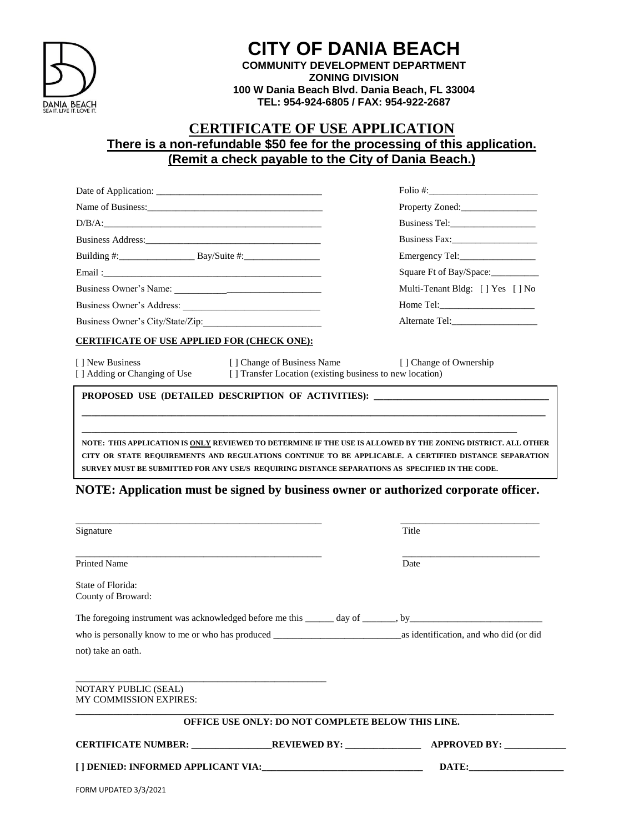

# **CITY OF DANIA BEACH**

**COMMUNITY DEVELOPMENT DEPARTMENT ZONING DIVISION 100 W Dania Beach Blvd. Dania Beach, FL 33004 TEL: 954-924-6805 / FAX: 954-922-2687**

### **CERTIFICATE OF USE APPLICATION There is a non-refundable \$50 fee for the processing of this application. (Remit a check payable to the City of Dania Beach.)**

|                                                                                                                                                                                                                                                                                                                                                                                                                                     |                                                                                                                                              | $\text{Folio}\ \text{\#:}\n \begin{array}{c}\n \text{} \\ \text{} \\ \text{} \\ \text{} \\ \text{} \\ \text{} \\ \text{} \\ \text{} \\ \text{} \\ \text{} \\ \text{} \\ \text{} \\ \text{} \\ \text{} \\ \text{} \\ \text{} \\ \text{} \\ \text{} \\ \text{} \\ \text{} \\ \text{} \\ \text{} \\ \text{} \\ \text{} \\ \text{} \\ \text{} \\ \text{} \\ \text{} \\ \text{} \\ \text{} \\ \text{} \\ \text{} \\ \text{} \\ \$ |                                                    |
|-------------------------------------------------------------------------------------------------------------------------------------------------------------------------------------------------------------------------------------------------------------------------------------------------------------------------------------------------------------------------------------------------------------------------------------|----------------------------------------------------------------------------------------------------------------------------------------------|------------------------------------------------------------------------------------------------------------------------------------------------------------------------------------------------------------------------------------------------------------------------------------------------------------------------------------------------------------------------------------------------------------------------------|----------------------------------------------------|
|                                                                                                                                                                                                                                                                                                                                                                                                                                     |                                                                                                                                              | Property Zoned:_________________                                                                                                                                                                                                                                                                                                                                                                                             |                                                    |
| $D/B/A: \begin{tabular}{ c c c c } \hline \multicolumn{3}{ c }{D/B/A:} \hline \multicolumn{3}{ c }{D/B/A:} \hline \multicolumn{3}{ c }{D/B/A:} \hline \multicolumn{3}{ c }{D/B/A:} \hline \multicolumn{3}{ c }{D/B/A:} \hline \multicolumn{3}{ c }{D/B/A:} \hline \multicolumn{3}{ c }{D/B/A:} \hline \multicolumn{3}{ c }{D/B/A:} \hline \multicolumn{3}{ c }{D/B/A:} \hline \multicolumn{3}{ c }{D/B/A:} \hline \multicolumn{3}{$ |                                                                                                                                              |                                                                                                                                                                                                                                                                                                                                                                                                                              |                                                    |
| Business Address: 2008. [19] All and the Manual Address:                                                                                                                                                                                                                                                                                                                                                                            |                                                                                                                                              | Business Fax:                                                                                                                                                                                                                                                                                                                                                                                                                |                                                    |
| Building $\#$ : $\qquad \qquad$ Bay/Suite $\#$ :                                                                                                                                                                                                                                                                                                                                                                                    |                                                                                                                                              |                                                                                                                                                                                                                                                                                                                                                                                                                              |                                                    |
|                                                                                                                                                                                                                                                                                                                                                                                                                                     |                                                                                                                                              | Square Ft of Bay/Space:                                                                                                                                                                                                                                                                                                                                                                                                      |                                                    |
|                                                                                                                                                                                                                                                                                                                                                                                                                                     |                                                                                                                                              | Multi-Tenant Bldg: [] Yes [] No                                                                                                                                                                                                                                                                                                                                                                                              |                                                    |
| Business Owner's City/State/Zip:                                                                                                                                                                                                                                                                                                                                                                                                    |                                                                                                                                              | Home Tel:                                                                                                                                                                                                                                                                                                                                                                                                                    |                                                    |
|                                                                                                                                                                                                                                                                                                                                                                                                                                     |                                                                                                                                              |                                                                                                                                                                                                                                                                                                                                                                                                                              | <b>CERTIFICATE OF USE APPLIED FOR (CHECK ONE):</b> |
| [] New Business                                                                                                                                                                                                                                                                                                                                                                                                                     | [ ] Change of Business Name [ ] Change of Ownership<br>[] Adding or Changing of Use [] Transfer Location (existing business to new location) |                                                                                                                                                                                                                                                                                                                                                                                                                              |                                                    |
|                                                                                                                                                                                                                                                                                                                                                                                                                                     |                                                                                                                                              | PROPOSED USE (DETAILED DESCRIPTION OF ACTIVITIES): ______________________________<br>,我们也不能会在这里,我们的人们就会在这里,我们也不能会在这里,我们也不能会在这里,我们也不能会在这里,我们也不能会在这里,我们也不能会在这里,我们也不能会在这                                                                                                                                                                                                                                                        |                                                    |
|                                                                                                                                                                                                                                                                                                                                                                                                                                     |                                                                                                                                              | NOTE: THIS APPLICATION IS ONLY REVIEWED TO DETERMINE IF THE USE IS ALLOWED BY THE ZONING DISTRICT. ALL OTHER<br>CITY OR STATE REQUIREMENTS AND REGULATIONS CONTINUE TO BE APPLICABLE. A CERTIFIED DISTANCE SEPARATION                                                                                                                                                                                                        |                                                    |

#### **NOTE: Application must be signed by business owner or authorized corporate officer.**

**SURVEY MUST BE SUBMITTED FOR ANY USE/S REQUIRING DISTANCE SEPARATIONS AS SPECIFIED IN THE CODE.** 

| Signature                                                                                                             |                                                          | Title |
|-----------------------------------------------------------------------------------------------------------------------|----------------------------------------------------------|-------|
| <u> 1989 - Johann Stoff, deutscher Stoff, der Stoff, der Stoff, der Stoff, der Stoff, der Stoff, der Stoff, der S</u> |                                                          |       |
| <b>Printed Name</b>                                                                                                   |                                                          | Date  |
| State of Florida:<br>County of Broward:                                                                               |                                                          |       |
|                                                                                                                       |                                                          |       |
|                                                                                                                       |                                                          |       |
| not) take an oath.                                                                                                    |                                                          |       |
| NOTARY PUBLIC (SEAL)<br><b>MY COMMISSION EXPIRES:</b>                                                                 |                                                          |       |
|                                                                                                                       | <b>OFFICE USE ONLY: DO NOT COMPLETE BELOW THIS LINE.</b> |       |
|                                                                                                                       |                                                          |       |
|                                                                                                                       |                                                          | DATE: |
| FORM UPDATED 3/3/2021                                                                                                 |                                                          |       |